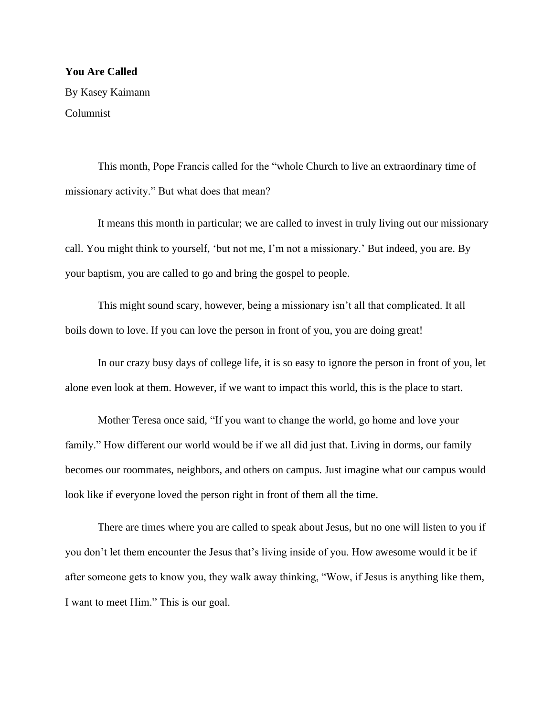## **You Are Called**

By Kasey Kaimann Columnist

This month, Pope Francis called for the "whole Church to live an extraordinary time of missionary activity." But what does that mean?

It means this month in particular; we are called to invest in truly living out our missionary call. You might think to yourself, 'but not me, I'm not a missionary.' But indeed, you are. By your baptism, you are called to go and bring the gospel to people.

This might sound scary, however, being a missionary isn't all that complicated. It all boils down to love. If you can love the person in front of you, you are doing great!

In our crazy busy days of college life, it is so easy to ignore the person in front of you, let alone even look at them. However, if we want to impact this world, this is the place to start.

Mother Teresa once said, "If you want to change the world, go home and love your family." How different our world would be if we all did just that. Living in dorms, our family becomes our roommates, neighbors, and others on campus. Just imagine what our campus would look like if everyone loved the person right in front of them all the time.

There are times where you are called to speak about Jesus, but no one will listen to you if you don't let them encounter the Jesus that's living inside of you. How awesome would it be if after someone gets to know you, they walk away thinking, "Wow, if Jesus is anything like them, I want to meet Him." This is our goal.